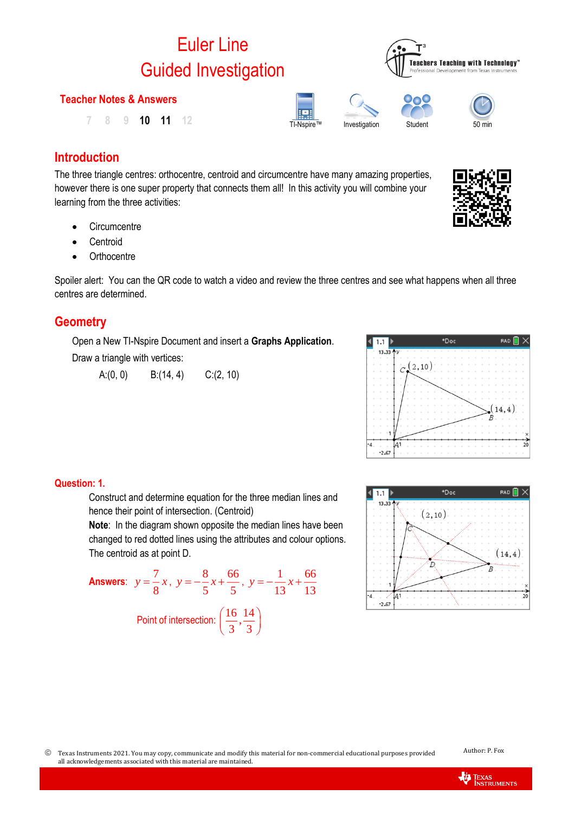# Euler Line Guided Investigation

#### **Teacher Notes & Answers**

TI-Nspire™ Investigation Student <sup>50</sup> min **7 8 9 10 11 12**

## **Introduction**

The three triangle centres: orthocentre, centroid and circumcentre have many amazing properties, however there is one super property that connects them all! In this activity you will combine your learning from the three activities:

- Circumcentre
- **Centroid**
- Orthocentre

Spoiler alert: You can the QR code to watch a video and review the three centres and see what happens when all three centres are determined.

## **Geometry**

Open a New TI-Nspire Document and insert a **Graphs Application**. Draw a triangle with vertices:

A: $(0, 0)$  B: $(14, 4)$  C: $(2, 10)$ 



 $\left| \cdot \right|$  1.1  $13.33$ 

# **Question: 1.**

Construct and determine equation for the three median lines and hence their point of intersection. (Centroid)

**Note**: In the diagram shown opposite the median lines have been changed to red dotted lines using the attributes and colour options. The centroid as at point D.

**Answers:** 
$$
y = \frac{7}{8}x
$$
,  $y = -\frac{8}{5}x + \frac{66}{5}$ ,  $y = -\frac{1}{13}x + \frac{66}{13}$   
Point of intersection:  $(\frac{16}{3}, \frac{14}{3})$ 



\*Doc



RAD  $\blacksquare$   $\times$ 

7

 Texas Instruments 2021. You may copy, communicate and modify this material for non-commercial educational purposes provided all acknowledgements associated with this material are maintained.



**Teachers Teaching with Technology'** 

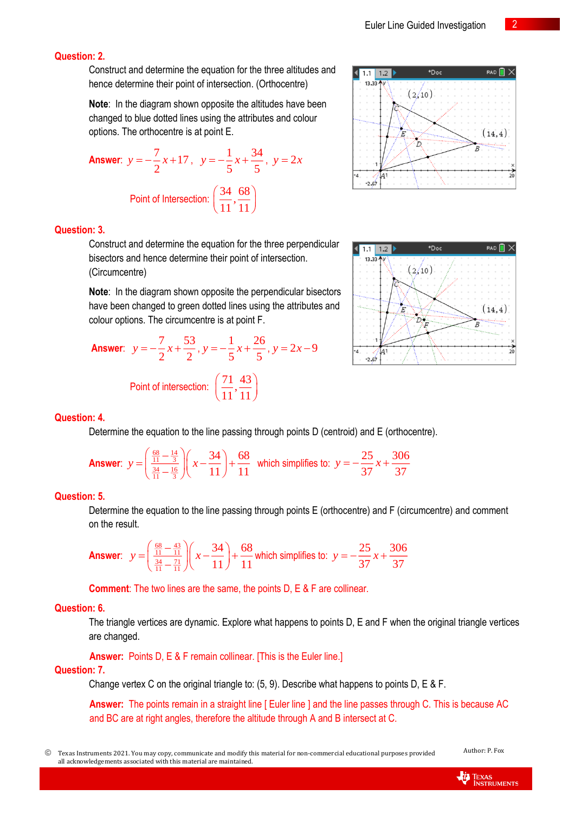$\overline{IDoc}$ 

 $(2/10)$ 

 $|$  1.1 | 1.2 |  $13.33$ 

Construct and determine the equation for the three altitudes and hence determine their point of intersection. (Orthocentre)

**Note:** In the diagram shown opposite the altitudes have been changed to blue dotted lines using the attributes and colour options. The orthocentre is at point E.

Answer: 
$$
y = -\frac{7}{2}x + 17
$$
,  $y = -\frac{1}{5}x + \frac{34}{5}$ ,  $y = 2x$   
Point of Intersection:  $\left(\frac{34}{11}, \frac{68}{11}\right)$ 

#### **Question: 3.**

Construct and determine the equation for the three perpendicular bisectors and hence determine their point of intersection. (Circumcentre)

**Note**: In the diagram shown opposite the perpendicular bisectors have been changed to green dotted lines using the attributes and colour options. The circumcentre is at point F.

Answer: 
$$
y = -\frac{7}{2}x + \frac{53}{2}
$$
,  $y = -\frac{1}{5}x + \frac{26}{5}$ ,  $y = 2x - 9$   
Point of intersection:  $(\frac{71}{11}, \frac{43}{11})$ 

#### **Question: 4.**

Determine the equation to the line passing through points D (centroid) and E (orthocentre).

**Answer**: 
$$
y = \left(\frac{\frac{68}{11} - \frac{14}{3}}{\frac{34}{11} - \frac{16}{3}}\right) \left(x - \frac{34}{11}\right) + \frac{68}{11}
$$
 which simplifies to:  $y = -\frac{25}{37}x + \frac{306}{37}$ 

#### **Question: 5.**

Determine the equation to the line passing through points E (orthocentre) and F (circumcentre) and comment on the result.

**Answer**: 
$$
y = \left(\frac{\frac{68}{11} - \frac{43}{11}}{\frac{34}{11} - \frac{71}{11}}\right) \left(x - \frac{34}{11}\right) + \frac{68}{11}
$$
 which simplifies to:  $y = -\frac{25}{37}x + \frac{306}{37}$ 

**Comment**: The two lines are the same, the points D, E & F are collinear.

#### **Question: 6.**

The triangle vertices are dynamic. Explore what happens to points D, E and F when the original triangle vertices are changed.

**Answer:** Points D, E & F remain collinear. [This is the Euler line.]

#### **Question: 7.**

Change vertex C on the original triangle to: (5, 9). Describe what happens to points D, E & F.

**Answer:** The points remain in a straight line [ Euler line ] and the line passes through C. This is because AC and BC are at right angles, therefore the altitude through A and B intersect at C.

 Texas Instruments 2021. You may copy, communicate and modify this material for non-commercial educational purposes provided all acknowledgements associated with this material are maintained.



 $(14, 4)$ ď Ŀ ź أي ح-



RAD<sup>1</sup>